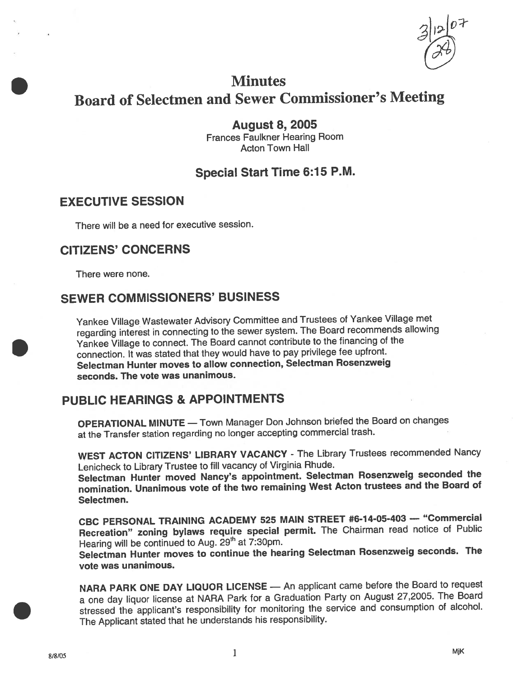### **Minutes**

## Board of Selectmen and Sewer Commissioner's Meeting

### August 8, 2005

Frances Faulkner Hearing Room Acton Town Hall

### Special Start Time 6:15 P.M.

### EXECUTIVE SESSION

There will be <sup>a</sup> need for executive session.

### CiTIZENS' CONCERNS

There were none.

## SEWER COMMISSIONERS' BUSINESS

Yankee Village Wastewater Advisory Committee and Trustees of Yankee Village met regarding interest in connecting to the sewer system. The Board recommends allowing Yankee Village to connect. The Board cannot contribute to the financing of the connection. It was stated that they would have to pay privilege fee upfront. Selectman Hunter moves to allow connection, Selectman Rosenzweig seconds. The vote was unanimous.

### PUBLIC HEARINGS & APPOINTMENTS

OPERATIONAL MINUTE — Town Manager Don Johnson briefed the Board on changes at the Transfer station regarding no longer accepting commercial trash.

WEST ACTON CITIZENS' LIBRARY VACANCY - The Library Trustees recommended Nancy Lenicheck to Library Trustee to fill vacancy of Virginia Rhude.

Selectman Hunter moved Nancy's appointment. Selectman Rosenzweig seconded the nomination. Unanimous vote of the two remaining West Acton trustees and the Board of Selectmen.

CBC PERSONAL TRAINING ACADEMY <sup>525</sup> MAIN STREET #6-14-05-403 — "Commercial Recreation" zoning bylaws require special permit. The Chairman read notice of Public Hearing will be continued to Aug. 29<sup>th</sup> at 7:30pm.

Selectman Hunter moves to continue the hearing Selectman Rosenzweig seconds. The vote was unanimous.

NARA PARK ONE DAY LIQUOR LICENSE — An applicant came before the Board to reques<sup>t</sup> <sup>a</sup> one day liquor license at NARA Park for <sup>a</sup> Graduation Party on August 27,2005. The Board stressed the applicant's responsibility for monitoring the service and consumption of alcohol. The Applicant stated that he understands his responsibility.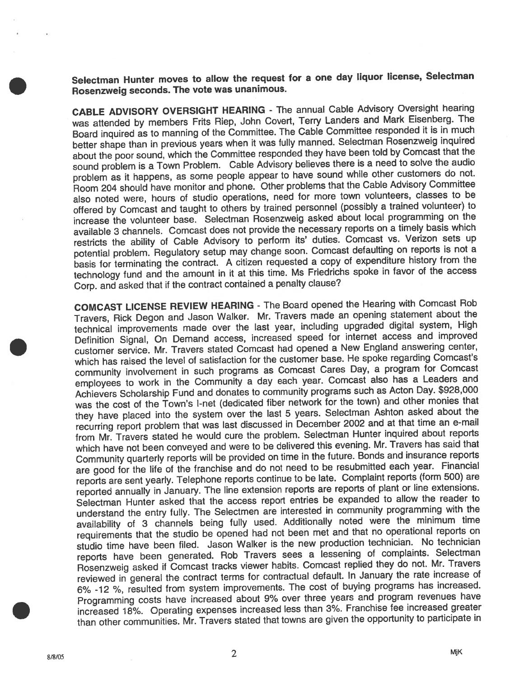Selectman Hunter moves to allow the reques<sup>t</sup> for <sup>a</sup> one day liquor license, Selectman Rosenzweig seconds. The vote was unanimous.

CABLE ADVISORY OVERSIGHT HEARING - The annual Cable Advisory Oversight hearing was attended by members Frits Riep, John Covert, Terry Landers and Mark Eisenberg. The Board inquired as to manning of the Committee. The Cable Committee responded it is in much better shape than in previous years when it was fully manned. Selectman Rosenzweig inquired about the poor sound, which the Committee responded they have been told by Comcast that the sound problem is a Town Problem. Cable Advisory believes there is a need to solve the audio problem as it happens, as some people appear to have sound while other customers do not. Room <sup>204</sup> should have monitor and <sup>p</sup>hone. Other problems that the Cable Advisory Committee also noted were, hours of studio operations, need for more town volunteers, classes to be offered by Comcast and taught to others by trained personne<sup>l</sup> (possibly <sup>a</sup> trained volunteer) to increase the volunteer base. Selectman Rosenzweig asked about local programming on the available 3 channels. Comcast does not provide the necessary reports on <sup>a</sup> timely basis which restricts the ability of Cable Advisory to perform its' duties. Comcast vs. Verizon sets up potential problem. Regulatory setup may change soon. Comcast defaulting on reports is not a basis for terminating the contract. A citizen requested <sup>a</sup> copy of expenditure history from the technology fund and the amount in it at this time. Ms Friedrichs spoke in favor of the access Corp. and asked that if the contract contained <sup>a</sup> penalty clause?

COMCAST LICENSE REViEW HEARING - The Board opene<sup>d</sup> the Hearing with Comcast Rob Travers, Rick Degon and Jason Walker. Mr. Travers made an opening statement about the technical improvements made over the last year, including upgraded digital system, High Definition Signal, On Demand access, increased spee<sup>d</sup> for Internet access and improved customer service. Mr. Travers stated Comcast had opened <sup>a</sup> New England answering center, which has raised the level of satisfaction for the customer base. He spoke regarding Comcast's community involvement in such programs as Comcast Cares Day, <sup>a</sup> program for Comcast employees to work in the Community a day each year. Comcast also has a Leaders and Achievers Scholarship Fund and donates to community programs such as Acton Day. \$928,000 was the cost of the Town's I-net (dedicated fiber network for the town) and other monies that they have <sup>p</sup>laced into the system over the last <sup>5</sup> years. Selectman Ashton asked about the recurring repor<sup>t</sup> problem that was last discussed in December <sup>2002</sup> and at that time an e-mail from Mr. Travers stated he would cure the problem. Selectman Hunter inquired about reports which have not been conveye<sup>d</sup> and were to be delivered this evening. Mr. Travers has said that Community quarterly reports will be provided on time in the future. Bonds and insurance reports are goo<sup>d</sup> for the life of the franchise and do not need to be resubmitted each year. Financial reports are sent yearly. Telephone reports continue to be late. Complaint reports (form 500) are reported annually in January. The line extension reports are reports of <sup>p</sup>lant or line extensions. Selectman Hunter asked that the access repor<sup>t</sup> entries be expanded to allow the reader to understand the entry fully. The Selectmen are interested in community programming with the availability of <sup>3</sup> channels being fully used. Additionally noted were the minimum time requirements that the studio be opene<sup>d</sup> had not been met and that no operational reports on studio time have been filed. Jason Walker is the new production technician. No technician reports have been generated. Rob Travers sees a lessening of complaints. Selectman Rosenzweig asked it Comcast tracks viewer habits. Comcast replied they do not. Mr. Travers reviewed in genera<sup>l</sup> the contract terms for contractual default. In January the rate increase of 6% -72 %, resulted from system improvements. The cost of buying programs has increased. Programming costs have increased about 9% over three years and program revenues have increased 18%. Operating expenses increased less than 3%. Franchise fee increased greater than other communities. Mr. Travers stated that towns are <sup>g</sup>iven the opportunity to participate in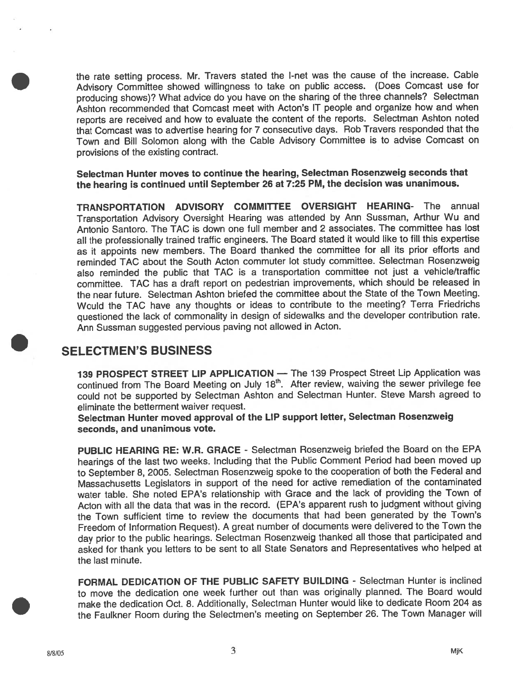the rate setting process. Mr. Travers stated the I-net was the cause of the increase. Cable Advisory Committee showed willingness to take on public access. (Does Comcast use for producing shows)? What advice do you have on the sharing of the three channels? Selectman Ashton recommended that Comcast meet with Acton's IT people and organize how and when reports are received and how to evaluate the content of the reports. Selectman Ashton noted that Comcast was to advertise hearing for <sup>7</sup> consecutive days. Rob Travers responded that the Town and Bill Solomon along with the Cable Advisory Committee is to advise Comcast on provisions of the existing contract.

Selectman Hunter moves to continue the hearing, Selectman Rosenzweig seconds that the hearing is continued until September <sup>26</sup> at 7:25 PM, the decision was unanimous.

TRANSPORTATION ADVISORY COMMITTEE OVERSIGHT HEARING- The annual Transportation Advisory Oversight Hearing was attended by Ann Sussman, Arthur Wu and Antonio Santoro. The TAC is down one full member and 2 associates. The committee has lost all the professionally trained traffic engineers. The Board stated it would like to fill this expertise as it appoints new members. The Board thanked the committee for all its prior efforts and reminded TAC about the South Acton commuter lot study committee. Selectman Rosenzweig also reminded the public that TAC is <sup>a</sup> transportation committee not just <sup>a</sup> vehicle/traffic committee. TAC has <sup>a</sup> draft repor<sup>t</sup> on pedestrian improvements, which should be released in the near future. Selectman Ashton briefed the committee about the State of the Town Meeting. Would the TAC have any thoughts or ideas to contribute to the meeting? Terra Friedrichs questioned the lack of commonality in design of sidewalks and the developer contribution rate. Ann Sussman suggested pervious paving not allowed in Acton.

### SELECTMEN'S BUSINESS

139 PROSPECT STREET LIP APPLICATION - The 139 Prospect Street Lip Application was continued from The Board Meeting on July 18<sup>th</sup>. After review, waiving the sewer privilege fee could not be supported by Selectman Ashton and Selectman Hunter. Steve Marsh agree<sup>d</sup> to eliminate the betterment waiver request.

Selectman Hunter moved approva<sup>l</sup> of the LIP suppor<sup>t</sup> letter, Selectman Rosenzweig seconds, and unanimous vote.

PUBLIC HEARING RE: W.R. GRACE - Selectman Rosenzweig briefed the Board on the EPA hearings of the last two weeks. Including that the Public Comment Period had been moved up to September 8, 2005. Selectman Rosenzweig spoke to the cooperation of both the Federal and Massachusetts Legislators in suppor<sup>t</sup> of the need for active remediation of the contaminated water table. She noted EPA's relationship with Grace and the lack of providing the Town of Acton with all the data that was in the record. (EPA's apparen<sup>t</sup> rush to judgment without giving the Town sufficient time to review the documents that had been generated by the Town's Freedom of Information Request). <sup>A</sup> grea<sup>t</sup> number of documents were delivered to the Town the day prior to the public hearings. Selectman Rosenzweig thanked all those that participated and asked for thank you letters to be sent to all State Senators and Representatives who helped at the last minute.

FORMAL DEDICATION OF THE PUBLIC SAFETY BUILDING - Selectman Hunter is inclined to move the dedication one week further out than was originally planned. The Board would make the dedication Oct. 8. Additionally, Selectman Hunter would like to dedicate Room 204 as the Faulkner Room during the Selectmen's meeting on September 26. The Town Manager will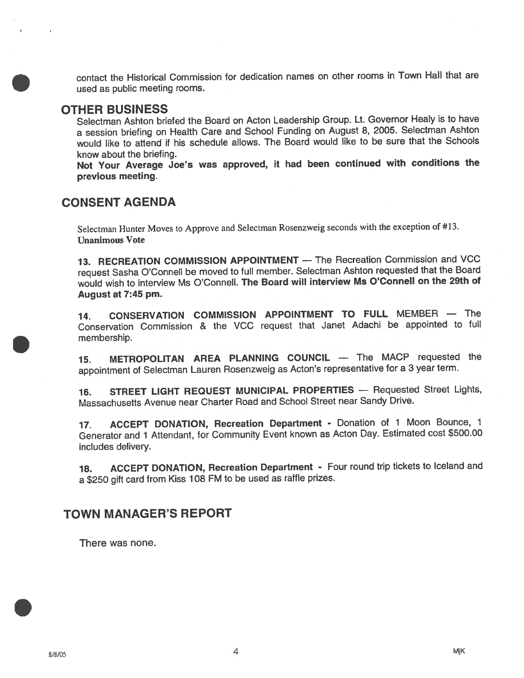contact the Historical Commission for dedication names on other rooms in Town Hall that are used as public meeting rooms.

### OTHER BUSINESS

 $\sim$ 

Selectman Ashton briefed the Board on Acton Leadership Group. Lt. Governor Healy is to have <sup>a</sup> session briefing on Health Care and School Funding on August 8, 2005. Selectman Ashton would like to attend if his schedule allows. The Board would like to be sure that the Schools know about the briefing.

Not Your Average Joe's was approved, it had been continued with conditions the previous meeting.

### CONSENT AGENDA

Selectman Hunter Moves to Approve and Selectman Rosenzweig seconds with the exception of #13. Unanimous Vote

13. RECREATION COMMISSION APPOINTMENT - The Recreation Commission and VCC reques<sup>t</sup> Sasha O'Connell be moved to full member. Selectman Ashton requested that the Board would wish to interview Ms O'Connell. The Board will interview Ms O'Connell on the 29th of August at 7:45 pm.

14. CONSERVATION COMMISSION APPOINTMENT TO FULL MEMBER — The Conservation Commission & the VCC reques<sup>t</sup> that Janet Adachi be appointed to full membership.

15. METROPOLITAN AREA PLANNING COUNCIL — The MACP requested the appointment of Selectman Lauren Rosenzweig as Acton's representative for <sup>a</sup> <sup>3</sup> year term.

16. STREET LIGHT REQUEST MUNICIPAL PROPERTIES — Requested Street Lights, Massachusetts Avenue near Charter Road and School Street near Sandy Drive.

17. ACCEPT DONATION, Recreation Department - Donation of <sup>1</sup> Moon Bounce, <sup>1</sup> Generator and <sup>1</sup> Attendant, for Community Event known as Acton Day. Estimated cost \$500.00 includes delivery.

18. ACCEPT DONATION, Recreation Department - Four round trip tickets to Iceland and <sup>a</sup> \$250 <sup>g</sup>ift card from Kiss <sup>108</sup> FM to be used as raffle prizes.

### TOWN MANAGER'S REPORT

There was none.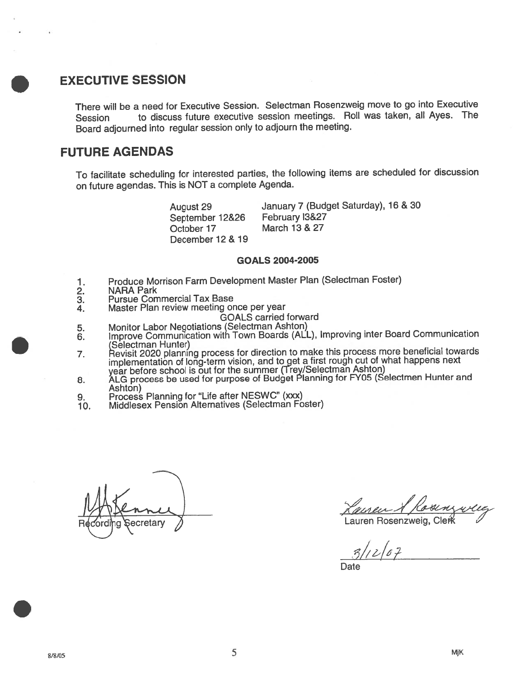### EXECUTIVE SESSION

There will be <sup>a</sup> need for Executive Session. Selectman Rosenzweig move to go into Executive Session to discuss future executive session meetings. Roll was taken, all Ayes. The Board adjourned into regular session only to adjourn the meeting.

### FUTURE AGENDAS

To facilitate scheduling for interested parties, the following items are scheduled for discussion on future agendas. This is NOT <sup>a</sup> complete Agenda.

> August 29 September 12&26 October 17 December 12 & 19 January <sup>7</sup> (Budget Saturday), 16 & 30 February 13&27 March 13 & 27

### GOALS 2004-2005

- 1. Produce Morrison Farm Development Master Plan (Selectman Foster)<br>2. NARA Park<br>3. Pursue Commercial Tax Base
- **NARA Park**
- Pursue Commercial Tax Base
- 4. Master Plan review meeting once per year
	- GOALS carried forward
- 5. Monitor Labor NeQotiations (Selectman Ashton)
- 6. Improve Communication with Town Boards (ALL), Improving inter Board Communication (Selectman Hunter)
- 7. Revisit <sup>2020</sup> <sup>p</sup>lanning process for direction to make this process more beneficial towards implementation of long-term vision, and toget <sup>a</sup> first roug<sup>h</sup> cut of what happens next year before school is out tor the summer (Trey/Selectman Ashton)
- 8. ALG process be used for purpose of Budget Planning for FY05 (Selectmen Hunter and Ashton)
- Ashton)<br>9. Process Planning for "Life after NESWC" (xxx)<br>10. Middlesex Pension Alternatives (Selectman Fo
- Middlesex Pension Alternatives (Selectman Foster)

ecretary

,>6- Lauren Rosenzweig, Cle

 $1267$ 

Date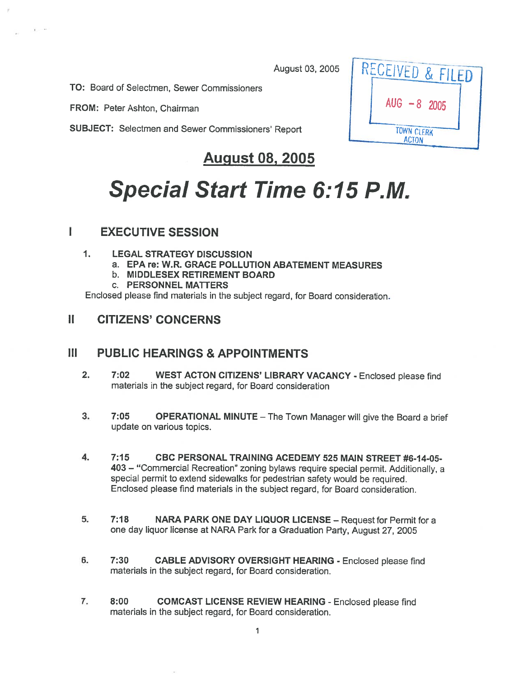August 03, 2005

TO: Board of Selectmen, Sewer Commissioners

FROM: Peter Ashton, Chairman

SUBJECT: Selectmen and Sewer Commissioners' Report

## August 08, 2005

# Special Start Time 6:15 P.M.

#### $\mathbf{I}$ EXECUTIVE SESSION

- 1. LEGAL STRATEGY DISCUSSION
	- a. EPA re: W.R. GRACE POLLUTION ABATEMENT MEASURES
	- b. MIDDLESEX RETIREMENT BOARD
	- c. PERSONNEL MATTERS

Enclosed <sup>p</sup>lease find materials in the subject regard, for Board consideration.

### $\mathbf{H}$ CITIZENS' CONCERNS

#### $\mathbf{III}$ PUBLIC HEARINGS & APPOINTMENTS

- 2. 7:02 WEST ACTON CITIZENS' LIBRARY VACANCY Enclosed please find materials in the subject regard, for Board consideration
- 3. 7:05 OPERATIONAL MINUTE The Town Manager will <sup>g</sup>ive the Board <sup>a</sup> brief update on various topics.
- 4. 7:15 CBC PERSONAL TRAINING ACEDEMY 525 MAIN STREET #6-14-05- <sup>403</sup> — "Commercial Recreation" zoning bylaws require special permit. Additionally, <sup>a</sup> special permit to extend sidewalks for pedestrian safety would be required. Enclosed please find materials in the subject regard, for Board consideration.
- 5. 7:18 NARA PARK ONE DAY LIQUOR LICENSE Request for Permit for <sup>a</sup> one day liquor license at NARA Park for <sup>a</sup> Graduation Party, August 27, <sup>2005</sup>
- 6. 7:30 CABLE ADVISORY OVERSIGHT HEARING Enclosed <sup>p</sup>lease find materials in the subject regard, for Board consideration.
- 7. 8:00 COMCAST LICENSE REVIEW HEARING -Enclosed <sup>p</sup>lease find materials in the subject regard, for Board consideration.

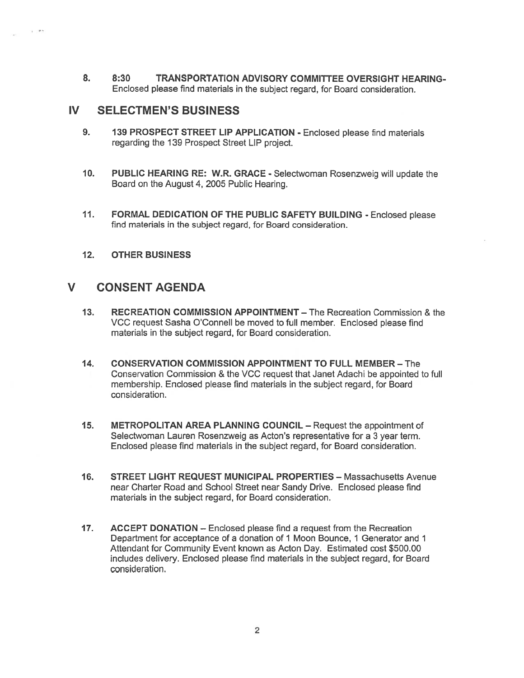8. 8:30 TRANSPORTATION ADVISORY COMMITTEE OVERSIGHT HEARING-Enclosed <sup>p</sup>lease find materials in the subject regard, for Board consideration.

### IV SELECTMEN'S BUSINESS

V. LEW

- 9. 139 PROSPECT STREET LIP APPLICATION Enclosed please find materials regarding the 139 Prospect Street LIP project.
- 10. PUBLIC HEARING RE: W.R. GRACE <sup>=</sup> Selectwoman Rosenzweig will update the Board on the August 4, 2005 Public Hearing.
- 11. FORMAL DEDICATION OF THE PUBLIC SAFETY BUILDING Enclosed <sup>p</sup>lease find materials in the subject regard, for Board consideration.
- 12. OTHER BUSINESS

### V CONSENT AGENDA

- 13. RECREATION COMMISSION APPOINTMENT The Recreation Commission & the VCC reques<sup>t</sup> Sasha O'Connell be moved to full member. Enclosed please find materials in the subject regard, for Board consideration.
- 14. CONSERVATION COMMISSION APPOINTMENT TO FULL MEMBER The Conservation Commission & the VCC reques<sup>t</sup> that Janet Adachi be appointed to full membership. Enclosed please find materials in the subject regard, for Board consideration.
- 15. METROPOLITAN AREA PLANNING COUNCIL Request the appointment of Selectwoman Lauren Rosenzweig as Acton's representative for <sup>a</sup> 3 year term. Enclosed please find materials in the subject regard, for Board consideration.
- 16. STREET LIGHT REQUEST MUNICIPAL PROPERTIES Massachusetts Avenue near Charter Road and School Street near Sandy Drive. Enclosed please find materials in the subject regard, for Board consideration.
- 17. ACCEPT DONATION Enclosed please find <sup>a</sup> reques<sup>t</sup> from the Recreation Department for acceptance of a donation of 1 Moon Bounce, 1 Generator and 1 Attendant for Community Event known as Acton Day. Estimated cost \$500.00 includes delivery. Enclosed please find materials in the subject regard, for Board consideration.